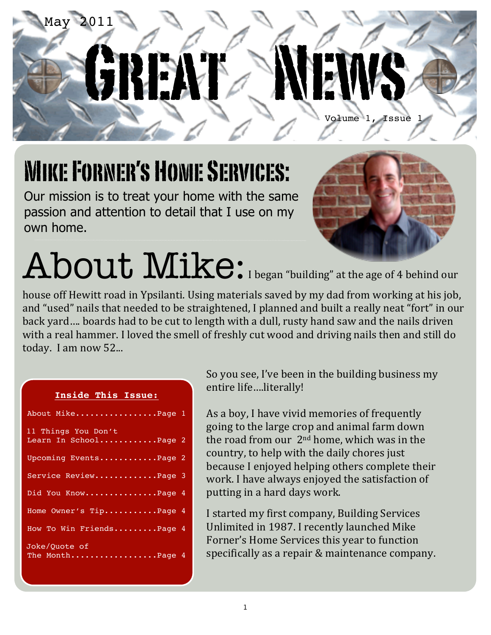

## Mike Forner's Home Services:

Our mission is to treat your home with the same passion and attention to detail that I use on my own home.



# About Mike: I began "building" at the age of 4 behind our

house off Hewitt road in Ypsilanti. Using materials saved by my dad from working at his job, and "used" nails that needed to be straightened, I planned and built a really neat "fort" in our back yard.... boards had to be cut to length with a dull, rusty hand saw and the nails driven with a real hammer. I loved the smell of freshly cut wood and driving nails then and still do today. I am now 52...

#### **Inside This Issue:**

| About MikePage 1                             |  |
|----------------------------------------------|--|
| 11 Things You Don't<br>Learn In SchoolPage 2 |  |
|                                              |  |
| Upcoming EventsPage 2                        |  |
| Service ReviewPage 3                         |  |
| Did You KnowPage 4                           |  |
| Home Owner's TipPage 4                       |  |
| How To Win FriendsPage 4                     |  |
| Joke/Quote of<br>The MonthPage 4             |  |

So you see, I've been in the building business my entire life....literally!

As a boy, I have vivid memories of frequently going to the large crop and animal farm down the road from our  $2<sup>nd</sup>$  home, which was in the country, to help with the daily chores just because I enjoyed helping others complete their work. I have always enjoyed the satisfaction of putting in a hard days work.

I started my first company, Building Services Unlimited in 1987. I recently launched Mike Forner's Home Services this year to function specifically as a repair & maintenance company.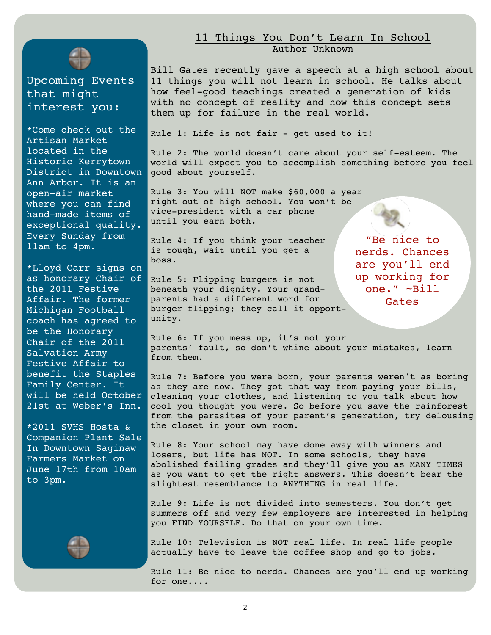

Upcoming Events that might interest you:

\*Come check out the Artisan Market located in the Historic Kerrytown District in Downtown Ann Arbor. It is an open-air market where you can find hand-made items of exceptional quality. Every Sunday from 11am to 4pm.

\*Lloyd Carr signs on as honorary Chair of the 2011 Festive Affair. The former Michigan Football coach has agreed to be the Honorary Chair of the 2011 Salvation Army Festive Affair to benefit the Staples Family Center. It will be held October 21st at Weber's Inn.

\*2011 SVHS Hosta & Companion Plant Sale In Downtown Saginaw Farmers Market on June 17th from 10am to 3pm.



#### 11 Things You Don't Learn In School Author Unknown

Bill Gates recently gave a speech at a high school about 11 things you will not learn in school. He talks about how feel-good teachings created a generation of kids with no concept of reality and how this concept sets them up for failure in the real world.

Rule 1: Life is not fair - get used to it!

Rule 2: The world doesn't care about your self-esteem. The world will expect you to accomplish something before you feel good about yourself.

Rule 3: You will NOT make \$60,000 a year right out of high school. You won't be vice-president with a car phone until you earn both.

Rule 4: If you think your teacher is tough, wait until you get a boss.

Rule 5: Flipping burgers is not beneath your dignity. Your grandparents had a different word for burger flipping; they call it opportunity.

"Be nice to nerds. Chances are you'll end up working for one." ~Bill Gates

Rule 6: If you mess up, it's not your parents' fault, so don't whine about your mistakes, learn from them.

Rule 7: Before you were born, your parents weren't as boring as they are now. They got that way from paying your bills, cleaning your clothes, and listening to you talk about how cool you thought you were. So before you save the rainforest from the parasites of your parent's generation, try delousing the closet in your own room.

Rule 8: Your school may have done away with winners and losers, but life has NOT. In some schools, they have abolished failing grades and they'll give you as MANY TIMES as you want to get the right answers. This doesn't bear the slightest resemblance to ANYTHING in real life.

Rule 9: Life is not divided into semesters. You don't get summers off and very few employers are interested in helping you FIND YOURSELF. Do that on your own time.

Rule 10: Television is NOT real life. In real life people actually have to leave the coffee shop and go to jobs.

Rule 11: Be nice to nerds. Chances are you'll end up working for one....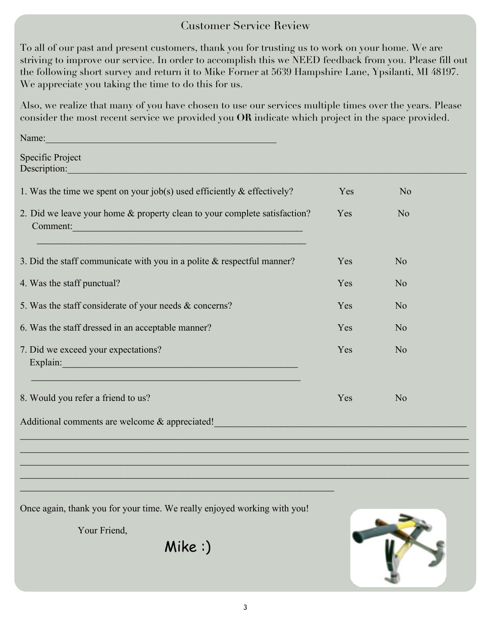#### Customer Service Review

To all of our past and present customers, thank you for trusting us to work on your home. We are striving to improve our service. In order to accomplish this we NEED feedback from you. Please fill out the following short survey and return it to Mike Forner at 5639 Hampshire Lane, Ypsilanti, MI 48197. We appreciate you taking the time to do this for us.

Also, we realize that many of you have chosen to use our services multiple times over the years. Please consider the most recent service we provided you **OR** indicate which project in the space provided.

Specific Project Description:

Name:\_\_\_\_\_\_\_\_\_\_\_\_\_\_\_\_\_\_\_\_\_\_\_\_\_\_\_\_\_\_\_\_\_\_\_\_\_\_\_\_\_\_\_\_\_\_\_\_

| 1. Was the time we spent on your job(s) used efficiently $\&$ effectively?                                                                                                                                      | Yes | N <sub>o</sub> |  |
|-----------------------------------------------------------------------------------------------------------------------------------------------------------------------------------------------------------------|-----|----------------|--|
| 2. Did we leave your home & property clean to your complete satisfaction?<br>Comment:<br><u> 1989 - Johann Stein, marwolaethau a bhann an t-Amhainn an t-Amhainn an t-Amhainn an t-Amhainn an t-Amhainn an </u> | Yes | N <sub>o</sub> |  |
| 3. Did the staff communicate with you in a polite $\&$ respectful manner?                                                                                                                                       | Yes | N <sub>o</sub> |  |
| 4. Was the staff punctual?                                                                                                                                                                                      | Yes | No             |  |
| 5. Was the staff considerate of your needs & concerns?                                                                                                                                                          | Yes | N <sub>o</sub> |  |
| 6. Was the staff dressed in an acceptable manner?                                                                                                                                                               | Yes | N <sub>o</sub> |  |
| 7. Did we exceed your expectations?<br>Explain:                                                                                                                                                                 | Yes | N <sub>0</sub> |  |
| 8. Would you refer a friend to us?                                                                                                                                                                              | Yes | N <sub>o</sub> |  |
| Additional comments are welcome & appreciated!                                                                                                                                                                  |     |                |  |
|                                                                                                                                                                                                                 |     |                |  |

Once again, thank you for your time. We really enjoyed working with you!

 $\mathcal{L}_\mathcal{L} = \{ \mathcal{L}_\mathcal{L} = \{ \mathcal{L}_\mathcal{L} = \{ \mathcal{L}_\mathcal{L} = \{ \mathcal{L}_\mathcal{L} = \{ \mathcal{L}_\mathcal{L} = \{ \mathcal{L}_\mathcal{L} = \{ \mathcal{L}_\mathcal{L} = \{ \mathcal{L}_\mathcal{L} = \{ \mathcal{L}_\mathcal{L} = \{ \mathcal{L}_\mathcal{L} = \{ \mathcal{L}_\mathcal{L} = \{ \mathcal{L}_\mathcal{L} = \{ \mathcal{L}_\mathcal{L} = \{ \mathcal{L}_\mathcal{$ 

Your Friend,

Mike :)



 $\_$  , and the set of the set of the set of the set of the set of the set of the set of the set of the set of the set of the set of the set of the set of the set of the set of the set of the set of the set of the set of th